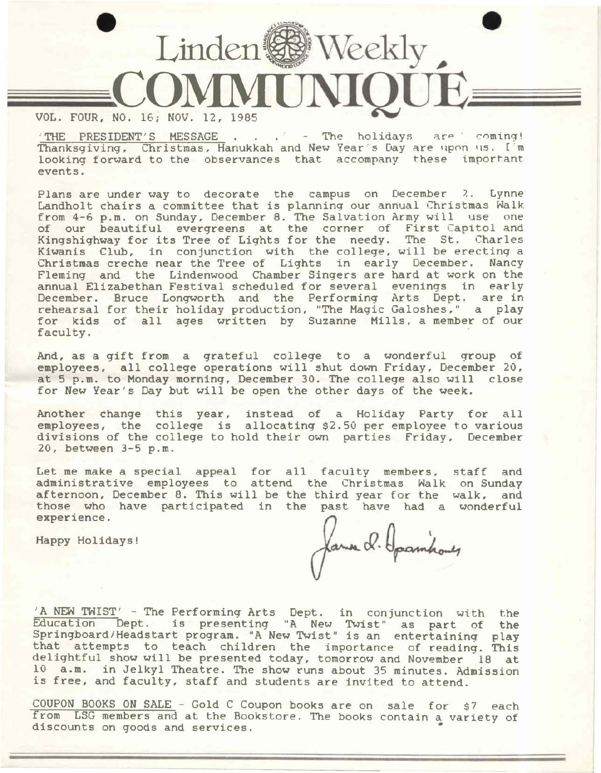

THE PRESIDENT'S MESSAGE . . . <sup>.</sup> - The holidays are coming! Thanksgiving, Christmas, Hanukkah and New Year's Day are upon us. I'm looking forward to the observances that accompany these important events.

Plans are under way to decorate the campus on December *?..* Lynne Landholt chairs a committee that is planning our annual Christmas Walk from 4-6 p.m. on Sunday, December 8. The Salvation Army will use one of our beautiful evergreens at the corner of First Capitol and Kingshighway for its Tree of Lights for the needy. The St. Charles Kiwanis Club, in conjunction with the college, will be erecting a Christmas creche near the Tree of Lights in early December. Nancy Fleming and the Lindenwood Chamber Singers are hard at work on the annual Elizabethan Festival scheduled for several evenings in early December. Bruce Longworth and the Performing Arts Dept. are in rehearsal for their holiday production, "The Magic Galoshes," a play for kids of all ages written by Suzanne Mills, a member of our faculty.

And, as a gift from a grateful college to a wonderful group of employees, all college operations will shut down Friday, December 20, at 5 p.m. to Monday morning, December 30. The college also will close for New Year's Day but will be open the other days of the week.

Another change this year, instead of a Holiday Party for all employees, the college is allocating \$2.50 per employee to various divisions of the college to hold their own parties Friday, December 20, between 3-5 p.m.

Let me make a special appeal for all faculty members, administrative employees to attend the Christmas Walk afternoon, December 8. This will be the third year for the walk, and those who have participated in the past have had a wonderful experience. staff and on Sunday

Happy Holidays!

James d. Garmhoues

'A NEW TWIST' - The Performing Arts Dept. in conjunction with the Education Dept. is presenting "A New Twist" as part of the Springboard/Headstart program. "A New Twist" is an entertaininq play that attempts to teach children the importance of readinq. This delightful show will be presented today, tomorrow and November 18 at 10 a.m. in Jelkyl Theatre. The show runs about 35 minutes. Admission is free, and faculty, staff and students are invited to attend.

COUPON BOOKS ON SALE - Gold C Coupon books are on sale for \$7 each from LSG members and at the Bookstore. The books contain a variety of discounts on goods and services. •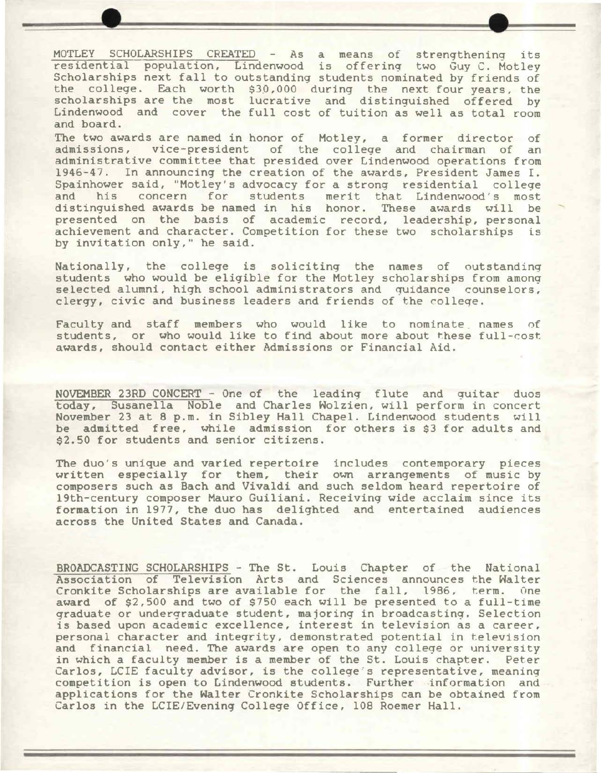MOTLEY SCHOLARSHIPS CREATED - As a means of strengthening its residential population, Lindenwood is offering two Guy C. Motley Scholarships next fall to outstanding students nominated by friends of the college. Each worth \$30,000 during the next four years, the scholarships are the most lucrative and distinguished offered by Lindenwood and cover the full cost of tuition as well as total room and board.

The two awards are named in honor of Motley, a former director of admissions, vice-president of the college and chairman of an administrative committee that presided over Lindenwood operations from 1946-47. In announcing the creation of the awards, President James I. Spainhower said, "Motley's advocacy for a strong residential college<br>and his concern for students merit that Lindenwood's most his concern for students merit that Lindenwood's most distinguished awards be named in his honor. These awards will be presented on the basis of academic record, leadership, personal achievement and character. Competition for these two scholarships is by invitation only," he said.

Nationally, the college is soliciting the names of outstanding students who would be eligible for the Motley scholarships from among selected alumni, high school administrators and guidance counselors, clergy, civic and business leaders and friends of the colleqe.

Faculty and staff members who would like to nominate names of students, or who would like to find about more about these full-cost awards, should contact either Admissions or Financial Aid.

NOVEMBER 23RD CONCERT - One of the leading flute and guitar duos today, Susanella Noble and Charles Wolzien, will perform in concert November 23 at 8 p.m. in Sibley Hall Chapel. Lindenwood students will be admitted free, while admission for others is \$3 for adults and \$2.50 for students and senior citizens.

The duo's unique and varied repertoire includes contemporary pieces written especially for them, their own arrangements of music by composers such as Bach and Vivaldi and such seldom heard repertoire of 19th-century composer Mauro Guiliani. Receiving wide acclaim since its formation in 1977, the duo has delighted and entertained audiences across the United States and Canada.

BROADCASTING SCHOLARSHIPS - The St. Louis Chapter of the National Association of Television Arts and Sciences announces the Walter Cronkite Scholarships are available for the fall, 1986, term. One **award** of \$2,500 and two of \$750 each will be presented to a full-time graduate or undergraduate student, majoring in broadcasting. Selection is based upon academic excellence, interest in television as a career, personal character and integrity, demonstrated potential in television and financial need. The awards are open to any college or university in which a faculty member is a member of the St. Louis chapter. Peter Carlos, LCIE faculty advisor, is the college's representative, meaning competition is open to Lindenwood students. Further information and applications for the Walter Cronkite Scholarships can be obtained from Carlos in the LCIE/Evening College Office, 108 Roemer Hall.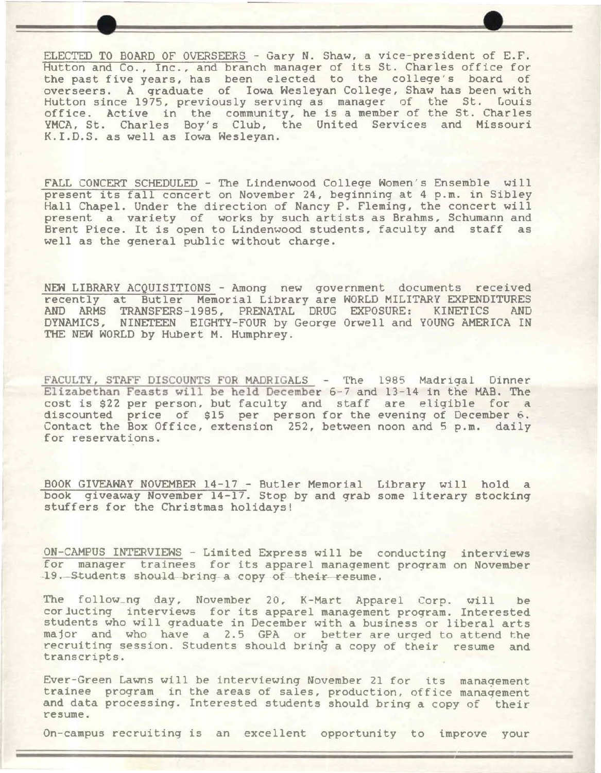ELECTED TO BOARD OF OVERSEERS - Gary N. Shaw, a vice-president of E.F. Hutton and Co., Inc., and branch manager of its St. Charles office for the past five years, has been elected to the college's board of overseers. A graduate of Iowa Wesleyan College, Shaw has been with Hutton since 1975, previously serving as manager of the St. Louis office. Active in the community, he is a member of the St. Charles YMCA, St. Charles Boy's Club, the United Services and Missouri K.I.D.S. as well as Iowa Wesleyan.

FALL CONCERT SCHEDULED - The Lindenwood College Women's Ensemble will present its fall concert on November 24, beginning at 4 p.m. in Sibley Hall Chapel. Under the direction of Nancy P. Fleming, the concert will present a variety of works by such artists as Brahms, Schumann and<br>Brent Piece. It is open to Lindenwood students, faculty and staff as Brent Piece. It is open to Lindenwood students, faculty and staff well as the general public without charge.

NEW LIBRARY ACQUISITIONS - Among new government documents received recently at Butler Memorial Library are WORLD MILITARY EXPENDITURES<br>AND ARMS TRANSFERS-1985, PRENATAL DRUG EXPOSURE: KINETICS AND AND ARMS TRANSFERS-1985, PRENATAL DRUG EXPOSURE:<br>DYNAMICS, NINETEEN EIGHTY-FOUR by George Orwell and DYNAMICS, **NINETEEN** EIGHTY-FOUR by George Orwell and YOUNG AMERICA IN THE NEW WORLD by Hubert M. Humphrey.

FACULTY, STAFF DISCOUNTS FOR MADRIGALS - The 1985 Madrigal Dinner Elizabethan Feasts will be held December 6-7 and 13-14 in the MAB. The cost is \$22 per person, but faculty and staff are eligible for a discounted price of \$15 per person for the evening of December 6. Contact the Box Office, extension 252, between noon and 5 p.m. daily for reservations.

BOOK GIVEAWAY NOVEMBER 14-17 - Butler Memorial Library will hold a book giveaway November 14-17. Stop by and grab some literary stocking stuffers for the Christmas holidays!

ON-CAMPUS INTERVIEWS - Limited Express will be conducting interviews for manager trainees for its apparel management program on November 19. Students should bring a copy of their resume.

The follow\_ng day, November 20, K-Mart Apparel Corp. will be corlucting interviews for its apparel management program. Interested students who will graduate in December with a business or liberal arts major and who have a 2.5 GPA or better are urged to attend the recruiting session. Students should bring a copy of their resume and transcripts.

Ever-Green Lawns will be interviewing November 21 for its management trainee program in the areas of sales, production, office manaqement and data processing. Interested students should bring a copy of their resume.

On-campus recruiting is an excellent opportunity to improve your